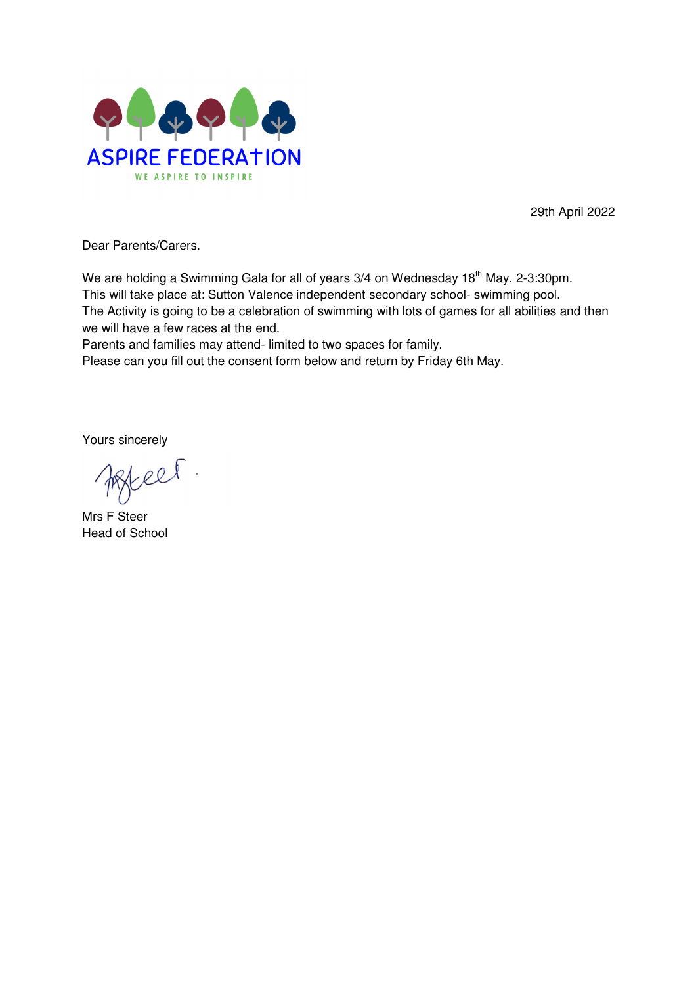

29th April 2022

Dear Parents/Carers.

We are holding a Swimming Gala for all of years 3/4 on Wednesday 18<sup>th</sup> May. 2-3:30pm. This will take place at: Sutton Valence independent secondary school- swimming pool. The Activity is going to be a celebration of swimming with lots of games for all abilities and then we will have a few races at the end.

Parents and families may attend- limited to two spaces for family.

Please can you fill out the consent form below and return by Friday 6th May.

Yours sincerely

el

Mrs F Steer Head of School